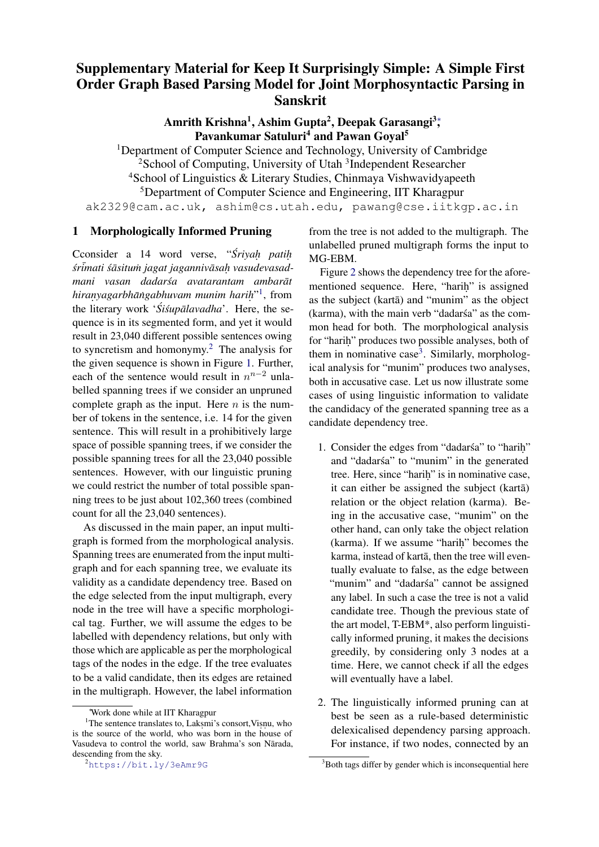## Supplementary Material for Keep It Surprisingly Simple: A Simple First Order Graph Based Parsing Model for Joint Morphosyntactic Parsing in Sanskrit

Amrith Krishna<sup>1</sup>, Ashim Gupta<sup>2</sup>, Deepak Garasangi<sup>3</sup>; Pavankumar Satuluri<sup>4</sup> and Pawan Goyal<sup>5</sup>

<sup>1</sup>Department of Computer Science and Technology, University of Cambridge <sup>2</sup> School of Computing, University of Utah<sup>3</sup> Independent Researcher <sup>4</sup>School of Linguistics & Literary Studies, Chinmaya Vishwavidyapeeth <sup>5</sup>Department of Computer Science and Engineering, IIT Kharagpur ak2329@cam.ac.uk, ashim@cs.utah.edu, pawang@cse.iitkgp.ac.in

## 1 Morphologically Informed Pruning

Cconsider a 14 word verse, "Sriyah patih *sr´ ¯imati s´asitu ¯ m jagat jaganniv ˙ asa ¯ h. vasudevasadmani vasan dadarśa avatarantam ambarāt hiranyagarbhāṅgabhuvam munim hariḥ*"<sup>[1](#page-0-0)</sup>, from the literary work '*Śiśupālavadha*'. Here, the sequence is in its segmented form, and yet it would result in 23,040 different possible sentences owing to syncretism and homonymy.<sup>[2](#page-0-1)</sup> The analysis for the given sequence is shown in Figure [1.](#page-1-0) Further, each of the sentence would result in  $n^{n-2}$  unlabelled spanning trees if we consider an unpruned complete graph as the input. Here  $n$  is the number of tokens in the sentence, i.e. 14 for the given sentence. This will result in a prohibitively large space of possible spanning trees, if we consider the possible spanning trees for all the 23,040 possible sentences. However, with our linguistic pruning we could restrict the number of total possible spanning trees to be just about 102,360 trees (combined count for all the 23,040 sentences).

As discussed in the main paper, an input multigraph is formed from the morphological analysis. Spanning trees are enumerated from the input multigraph and for each spanning tree, we evaluate its validity as a candidate dependency tree. Based on the edge selected from the input multigraph, every node in the tree will have a specific morphological tag. Further, we will assume the edges to be labelled with dependency relations, but only with those which are applicable as per the morphological tags of the nodes in the edge. If the tree evaluates to be a valid candidate, then its edges are retained in the multigraph. However, the label information

from the tree is not added to the multigraph. The unlabelled pruned multigraph forms the input to MG-EBM.

Figure [2](#page-1-1) shows the dependency tree for the aforementioned sequence. Here, "harih" is assigned as the subject (karta) and "munim" as the object (karma), with the main verb "dadars<sup>a"</sup> as the common head for both. The morphological analysis for "harih" produces two possible analyses, both of them in nominative case<sup>[3](#page-0-2)</sup>. Similarly, morphological analysis for "munim" produces two analyses, both in accusative case. Let us now illustrate some cases of using linguistic information to validate the candidacy of the generated spanning tree as a candidate dependency tree.

- 1. Consider the edges from "dadarsa" to "harih" and "dadarśa" to "munim" in the generated tree. Here, since "harih" is in nominative case, it can either be assigned the subject (karta)¯ relation or the object relation (karma). Being in the accusative case, "munim" on the other hand, can only take the object relation (karma). If we assume "harih" becomes the karma, instead of kartā, then the tree will eventually evaluate to false, as the edge between "munim" and "dadarsa" cannot be assigned any label. In such a case the tree is not a valid candidate tree. Though the previous state of the art model, T-EBM\*, also perform linguistically informed pruning, it makes the decisions greedily, by considering only 3 nodes at a time. Here, we cannot check if all the edges will eventually have a label.
- 2. The linguistically informed pruning can at best be seen as a rule-based deterministic delexicalised dependency parsing approach. For instance, if two nodes, connected by an

<span id="page-0-0"></span><sup>∗</sup>Work done while at IIT Kharagpur

 $1$ <sup>1</sup>The sentence translates to, Laksmi's consort, Visnu, who is the source of the world, who was born in the house of Vasudeva to control the world, saw Brahma's son Nārada, descending from the sky.

<span id="page-0-1"></span><sup>2</sup><https://bit.ly/3eAmr9G>

<span id="page-0-2"></span> $3B$ oth tags differ by gender which is inconsequential here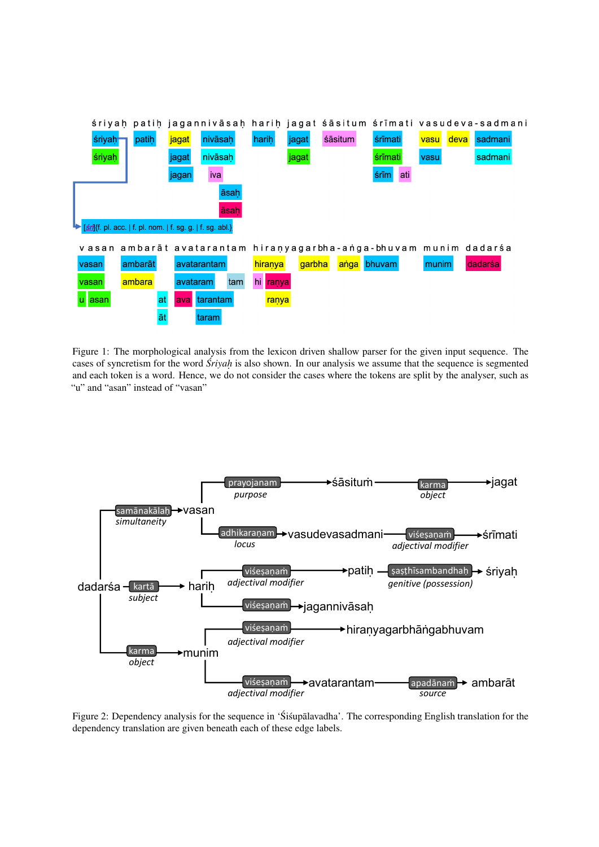<span id="page-1-0"></span>

Figure 1: The morphological analysis from the lexicon driven shallow parser for the given input sequence. The cases of syncretism for the word *Sriyah* is also shown. In our analysis we assume that the sequence is segmented and each token is a word. Hence, we do not consider the cases where the tokens are split by the analyser, such as "u" and "asan" instead of "vasan"

<span id="page-1-1"></span>

Figure 2: Dependency analysis for the sequence in 'Sisup allavadha'. The corresponding English translation for the dependency translation are given beneath each of these edge labels.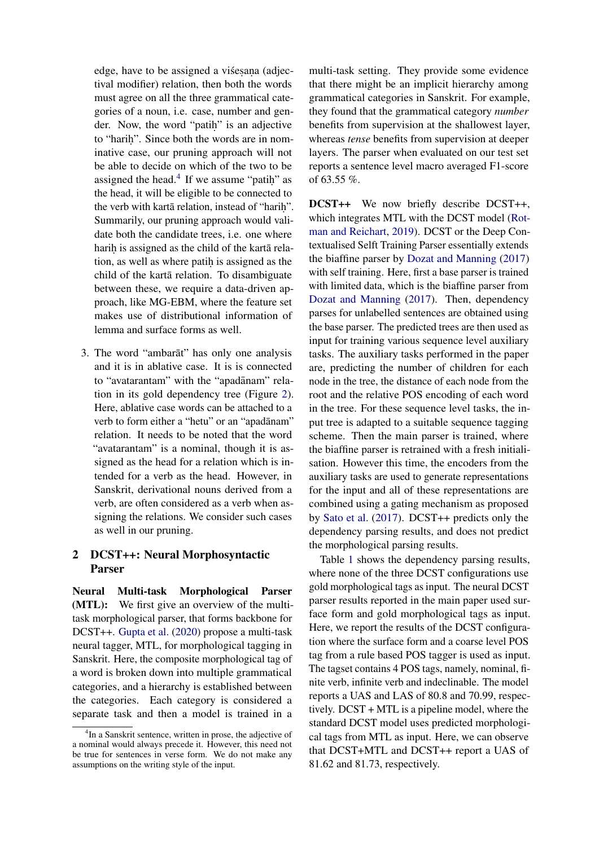edge, have to be assigned a visesana (adjectival modifier) relation, then both the words must agree on all the three grammatical categories of a noun, i.e. case, number and gender. Now, the word "patih" is an adjective to "harih". Since both the words are in nominative case, our pruning approach will not be able to decide on which of the two to be assigned the head. $4$  If we assume "patih" as the head, it will be eligible to be connected to the verb with karta relation, instead of "harih". Summarily, our pruning approach would validate both the candidate trees, i.e. one where harih is assigned as the child of the karta relation, as well as where patih is assigned as the child of the karta relation. To disambiguate between these, we require a data-driven approach, like MG-EBM, where the feature set makes use of distributional information of lemma and surface forms as well.

3. The word "ambarat" has only one analysis ¯ and it is in ablative case. It is is connected to "avatarantam" with the "apadānam" relation in its gold dependency tree (Figure [2\)](#page-1-1). Here, ablative case words can be attached to a verb to form either a "hetu" or an "apadānam" relation. It needs to be noted that the word "avatarantam" is a nominal, though it is assigned as the head for a relation which is intended for a verb as the head. However, in Sanskrit, derivational nouns derived from a verb, are often considered as a verb when assigning the relations. We consider such cases as well in our pruning.

## 2 DCST++: Neural Morphosyntactic Parser

Neural Multi-task Morphological Parser (MTL): We first give an overview of the multitask morphological parser, that forms backbone for DCST++. [Gupta et al.](#page-3-0) [\(2020\)](#page-3-0) propose a multi-task neural tagger, MTL, for morphological tagging in Sanskrit. Here, the composite morphological tag of a word is broken down into multiple grammatical categories, and a hierarchy is established between the categories. Each category is considered a separate task and then a model is trained in a

multi-task setting. They provide some evidence that there might be an implicit hierarchy among grammatical categories in Sanskrit. For example, they found that the grammatical category *number* benefits from supervision at the shallowest layer, whereas *tense* benefits from supervision at deeper layers. The parser when evaluated on our test set reports a sentence level macro averaged F1-score of 63.55 %.

DCST++ We now briefly describe DCST++, which integrates MTL with the DCST model [\(Rot](#page-3-1)[man and Reichart,](#page-3-1) [2019\)](#page-3-1). DCST or the Deep Contextualised Selft Training Parser essentially extends the biaffine parser by [Dozat and Manning](#page-3-2) [\(2017\)](#page-3-2) with self training. Here, first a base parser is trained with limited data, which is the biaffine parser from [Dozat and Manning](#page-3-2) [\(2017\)](#page-3-2). Then, dependency parses for unlabelled sentences are obtained using the base parser. The predicted trees are then used as input for training various sequence level auxiliary tasks. The auxiliary tasks performed in the paper are, predicting the number of children for each node in the tree, the distance of each node from the root and the relative POS encoding of each word in the tree. For these sequence level tasks, the input tree is adapted to a suitable sequence tagging scheme. Then the main parser is trained, where the biaffine parser is retrained with a fresh initialisation. However this time, the encoders from the auxiliary tasks are used to generate representations for the input and all of these representations are combined using a gating mechanism as proposed by [Sato et al.](#page-3-3) [\(2017\)](#page-3-3). DCST++ predicts only the dependency parsing results, and does not predict the morphological parsing results.

Table [1](#page-3-4) shows the dependency parsing results, where none of the three DCST configurations use gold morphological tags as input. The neural DCST parser results reported in the main paper used surface form and gold morphological tags as input. Here, we report the results of the DCST configuration where the surface form and a coarse level POS tag from a rule based POS tagger is used as input. The tagset contains 4 POS tags, namely, nominal, finite verb, infinite verb and indeclinable. The model reports a UAS and LAS of 80.8 and 70.99, respectively. DCST + MTL is a pipeline model, where the standard DCST model uses predicted morphological tags from MTL as input. Here, we can observe that DCST+MTL and DCST++ report a UAS of 81.62 and 81.73, respectively.

<span id="page-2-0"></span><sup>&</sup>lt;sup>4</sup>In a Sanskrit sentence, written in prose, the adjective of a nominal would always precede it. However, this need not be true for sentences in verse form. We do not make any assumptions on the writing style of the input.